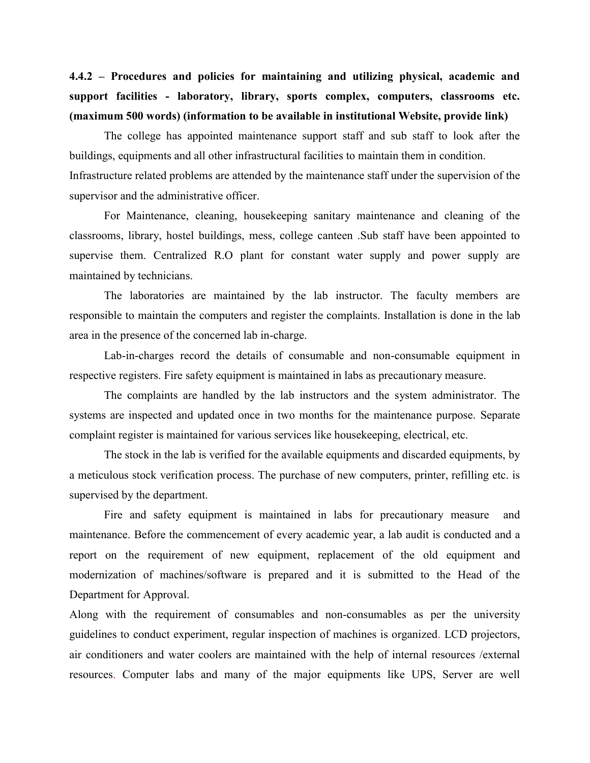**4.4.2 – Procedures and policies for maintaining and utilizing physical, academic and support facilities - laboratory, library, sports complex, computers, classrooms etc. (maximum 500 words) (information to be available in institutional Website, provide link)**

The college has appointed maintenance support staff and sub staff to look after the buildings, equipments and all other infrastructural facilities to maintain them in condition. Infrastructure related problems are attended by the maintenance staff under the supervision of the supervisor and the administrative officer.

For Maintenance, cleaning, housekeeping sanitary maintenance and cleaning of the classrooms, library, hostel buildings, mess, college canteen .Sub staff have been appointed to supervise them. Centralized R.O plant for constant water supply and power supply are maintained by technicians.

The laboratories are maintained by the lab instructor. The faculty members are responsible to maintain the computers and register the complaints. Installation is done in the lab area in the presence of the concerned lab in-charge.

Lab-in-charges record the details of consumable and non-consumable equipment in respective registers. Fire safety equipment is maintained in labs as precautionary measure.

The complaints are handled by the lab instructors and the system administrator. The systems are inspected and updated once in two months for the maintenance purpose. Separate complaint register is maintained for various services like housekeeping, electrical, etc.

The stock in the lab is verified for the available equipments and discarded equipments, by a meticulous stock verification process. The purchase of new computers, printer, refilling etc. is supervised by the department.

Fire and safety equipment is maintained in labs for precautionary measure and maintenance. Before the commencement of every academic year, a lab audit is conducted and a report on the requirement of new equipment, replacement of the old equipment and modernization of machines/software is prepared and it is submitted to the Head of the Department for Approval.

Along with the requirement of consumables and non-consumables as per the university guidelines to conduct experiment, regular inspection of machines is organized. LCD projectors, air conditioners and water coolers are maintained with the help of internal resources /external resources. Computer labs and many of the major equipments like UPS, Server are well